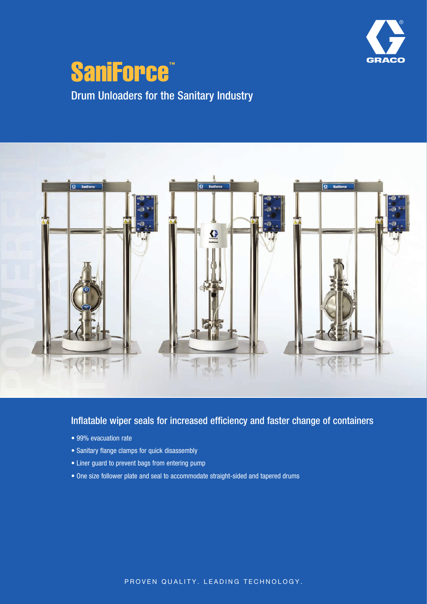

# SaniForce™ Drum Unloaders for the Sanitary Industry



### Inflatable wiper seals for increased efficiency and faster change of containers

- 99% evacuation rate
- Sanitary flange clamps for quick disassembly
- Liner guard to prevent bags from entering pump
- One size follower plate and seal to accommodate straight-sided and tapered drums